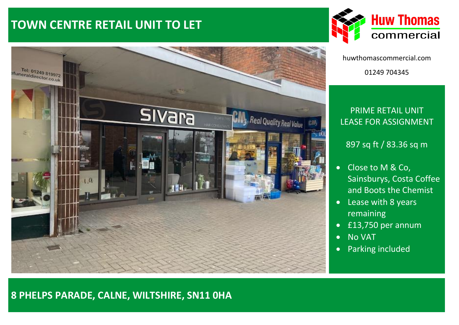# **TOWN CENTRE RETAIL UNIT TO LET**





huwthomascommercial.com 01249 704345

## PRIME RETAIL UNIT LEASE FOR ASSIGNMENT

### 897 sq ft / 83.36 sq m

- Close to M & Co, Sainsburys, Costa Coffee and Boots the Chemist
- Lease with 8 years remaining
- £13,750 per annum
- No VAT
- Parking included

# Tel: 01249 819972<br>funeraldirector.co.uk **Sivara City** Real Quality Real Value

## **8 PHELPS PARADE, CALNE, WILTSHIRE, SN11 0HA**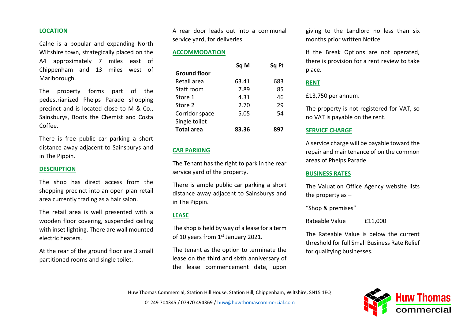#### **LOCATION**

Calne is a popular and expanding North Wiltshire town, strategically placed on the A4 approximately 7 miles east of Chippenham and 13 miles west of Marlborough.

The property forms part of the pedestrianized Phelps Parade shopping precinct and is located close to M & Co., Sainsburys, Boots the Chemist and Costa Coffee.

There is free public car parking a short distance away adjacent to Sainsburys and in The Pippin.

#### **DESCRIPTION**

The shop has direct access from the shopping precinct into an open plan retail area currently trading as a hair salon.

The retail area is well presented with a wooden floor covering, suspended ceiling with inset lighting. There are wall mounted electric heaters.

At the rear of the ground floor are 3 small partitioned rooms and single toilet.

A rear door leads out into a communal service yard, for deliveries.

#### **ACCOMMODATION**

|                     | Sq M  | Sq Ft |
|---------------------|-------|-------|
| <b>Ground floor</b> |       |       |
| Retail area         | 63.41 | 683   |
| Staff room          | 7.89  | 85    |
| Store 1             | 4.31  | 46    |
| Store 2             | 2.70  | 29    |
| Corridor space      | 5.05  | 54    |
| Single toilet       |       |       |
| <b>Total area</b>   | 83.36 | 897   |

#### **CAR PARKING**

The Tenant has the right to park in the rear service yard of the property.

There is ample public car parking a short distance away adjacent to Sainsburys and in The Pippin.

#### **LEASE**

The shop is held by way of a lease for a term of 10 years from 1<sup>st</sup> January 2021.

The tenant as the option to terminate the lease on the third and sixth anniversary of the lease commencement date, upon

giving to the Landlord no less than six months prior written Notice.

If the Break Options are not operated, there is provision for a rent review to take place.

#### **RENT**

£13,750 per annum.

The property is not registered for VAT, so no VAT is payable on the rent.

#### **SERVICE CHARGE**

A service charge will be payable toward the repair and maintenance of on the common areas of Phelps Parade.

#### **BUSINESS RATES**

The Valuation Office Agency website lists the property as –

"Shop & premises"

Rateable Value £11,000

The Rateable Value is below the current threshold for full Small Business Rate Relief for qualifying businesses.